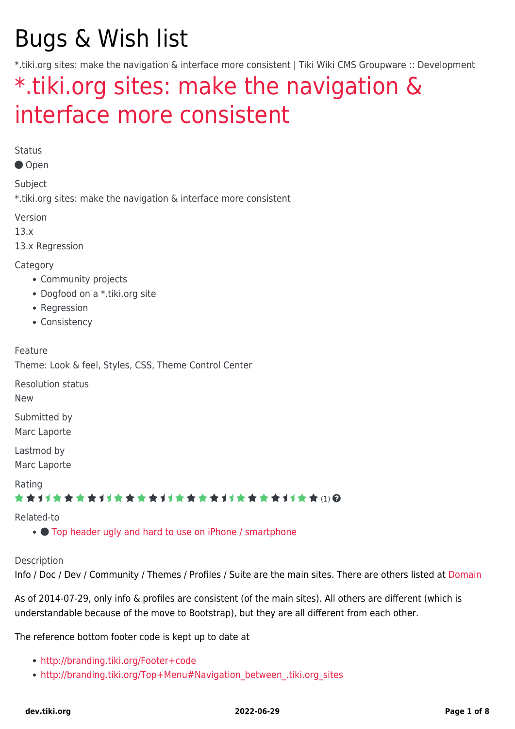# Bugs & Wish list

\*.tiki.org sites: make the navigation & interface more consistent | Tiki Wiki CMS Groupware :: Development

## [\\*.tiki.org sites: make the navigation &](https://dev.tiki.org/item5386--tiki-org-sites-make-the-navigation-interface-more-consistent) [interface more consistent](https://dev.tiki.org/item5386--tiki-org-sites-make-the-navigation-interface-more-consistent)

Status

Open

Subject

\*.tiki.org sites: make the navigation & interface more consistent

Version

13.x

13.x Regression

**Category** 

- Community projects
- Dogfood on a \*.tiki.org site
- Regression
- Consistency

Feature

Theme: Look & feel, Styles, CSS, Theme Control Center

Resolution status

New

Submitted by Marc Laporte

Lastmod by Marc Laporte

Rating

#### \*\*\*\*\*\*\*\*\*\*\*\*\*\*\*\*\*\*\*\*\*\*\*\*\*\*\*\*\*\*

Related-to

•  $\bullet$  [Top header ugly and hard to use on iPhone / smartphone](https://dev.tiki.org/item5851-Top-header-ugly-and-hard-to-use-on-iPhone-smartphone)

**Description** 

Info / Doc / Dev / Community / Themes / Profiles / Suite are the main sites. There are others listed at [Domain](http://tiki.org/Domain)

As of 2014-07-29, only info & profiles are consistent (of the main sites). All others are different (which is understandable because of the move to Bootstrap), but they are all different from each other.

The reference bottom footer code is kept up to date at

- <http://branding.tiki.org/Footer+code>
- http://branding.tiki.org/Top+Menu#Navigation between .tiki.org sites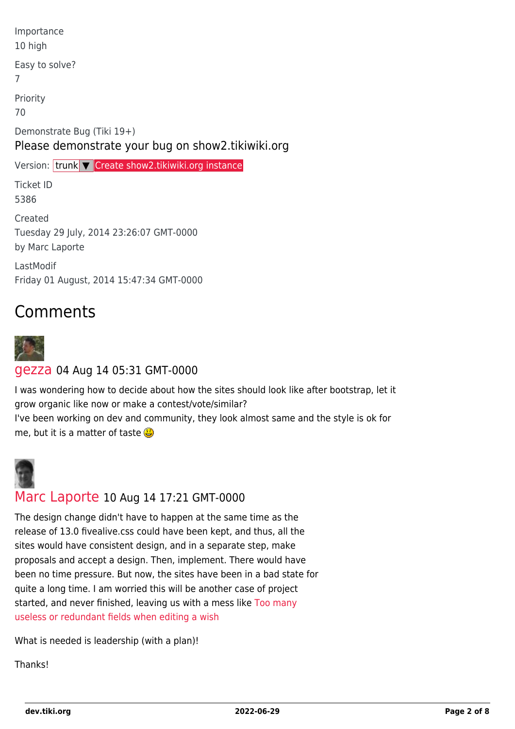| Importance<br>10 high                                                           |  |
|---------------------------------------------------------------------------------|--|
| Easy to solve?<br>7                                                             |  |
| Priority<br>70                                                                  |  |
| Demonstrate Bug (Tiki 19+)<br>Please demonstrate your bug on show2.tikiwiki.org |  |
| Version: trunk <del>V</del> Create show2.tikiwiki.org instance                  |  |
| <b>Ticket ID</b><br>5386                                                        |  |
| Created<br>Tuesday 29 July, 2014 23:26:07 GMT-0000<br>by Marc Laporte           |  |
| LastModif<br>Friday 01 August, 2014 15:47:34 GMT-0000                           |  |

### Comments



#### [gezza](https://dev.tiki.org/user10565) 04 Aug 14 05:31 GMT-0000

I was wondering how to decide about how the sites should look like after bootstrap, let it grow organic like now or make a contest/vote/similar? I've been working on dev and community, they look almost same and the style is ok for

me, but it is a matter of taste  $\mathbf{C}$ 



#### [Marc Laporte](https://dev.tiki.org/user11197) 10 Aug 14 17:21 GMT-0000

The design change didn't have to happen at the same time as the release of 13.0 fivealive.css could have been kept, and thus, all the sites would have consistent design, and in a separate step, make proposals and accept a design. Then, implement. There would have been no time pressure. But now, the sites have been in a bad state for quite a long time. I am worried this will be another case of project started, and never finished, leaving us with a mess like [Too many](https://dev.tiki.org/wish5406) [useless or redundant fields when editing a wish](https://dev.tiki.org/wish5406)

What is needed is leadership (with a plan)!

**Thanks!**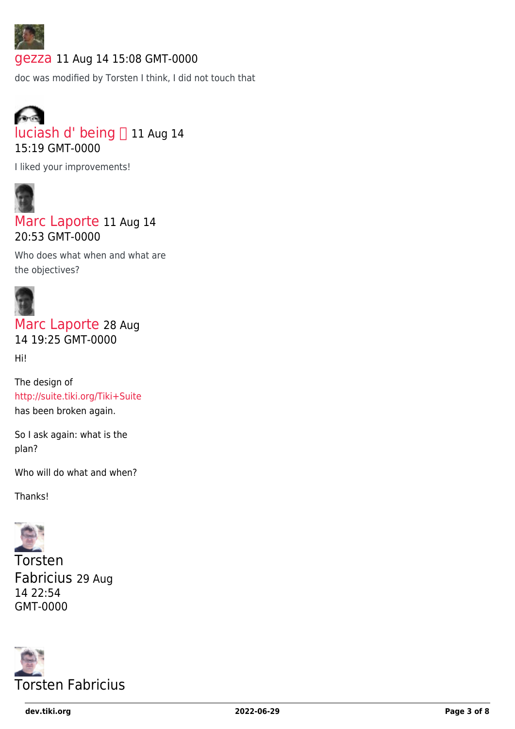

#### [gezza](https://dev.tiki.org/user10565) 11 Aug 14 15:08 GMT-0000

doc was modified by Torsten I think, I did not touch that



I liked your improvements!



[Marc Laporte](https://dev.tiki.org/user11197) 11 Aug 14 20:53 GMT-0000

Who does what when and what are the objectives?



[Marc Laporte](https://dev.tiki.org/user11197) 28 Aug 14 19:25 GMT-0000

Hi!

The design of <http://suite.tiki.org/Tiki+Suite> has been broken again.

So I ask again: what is the plan?

Who will do what and when?

Thanks!



Torsten Fabricius 29 Aug 14 22:54 GMT-0000

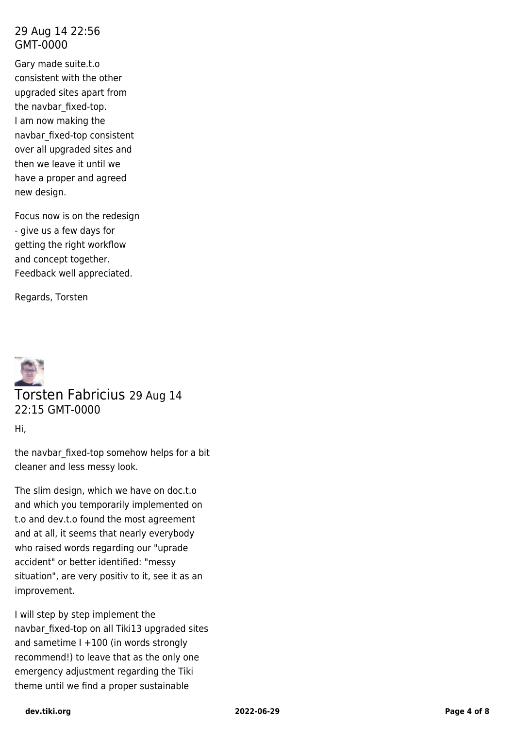#### 29 Aug 14 22:56 GMT-0000

Gary made suite.t.o consistent with the other upgraded sites apart from the navbar\_fixed-top. I am now making the navbar\_fixed-top consistent over all upgraded sites and then we leave it until we have a proper and agreed new design.

Focus now is on the redesign - give us a few days for getting the right workflow and concept together. Feedback well appreciated.

Regards, Torsten



Hi,

the navbar fixed-top somehow helps for a bit cleaner and less messy look.

The slim design, which we have on doc.t.o and which you temporarily implemented on t.o and dev.t.o found the most agreement and at all, it seems that nearly everybody who raised words regarding our "uprade accident" or better identified: "messy situation", are very positiv to it, see it as an improvement.

I will step by step implement the navbar\_fixed-top on all Tiki13 upgraded sites and sametime I +100 (in words strongly recommend!) to leave that as the only one emergency adjustment regarding the Tiki theme until we find a proper sustainable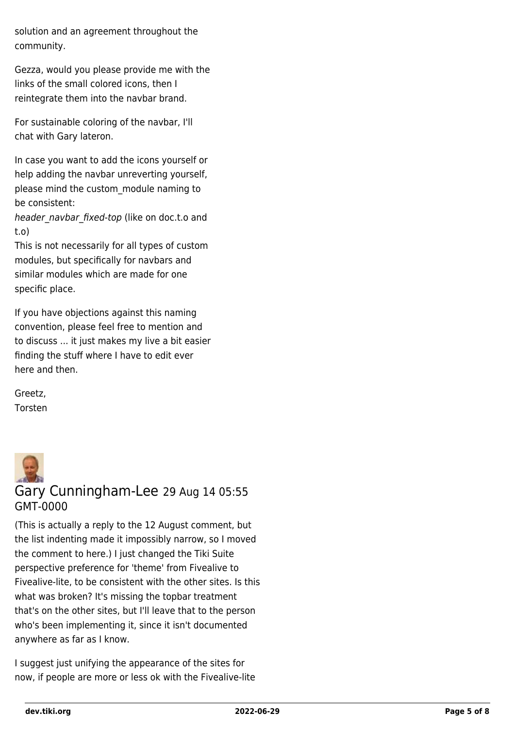solution and an agreement throughout the community.

Gezza, would you please provide me with the links of the small colored icons, then I reintegrate them into the navbar brand.

For sustainable coloring of the navbar, I'll chat with Gary lateron.

In case you want to add the icons yourself or help adding the navbar unreverting yourself, please mind the custom\_module naming to be consistent:

header navbar fixed-top (like on doc.t.o and t.o)

This is not necessarily for all types of custom modules, but specifically for navbars and similar modules which are made for one specific place.

If you have objections against this naming convention, please feel free to mention and to discuss ... it just makes my live a bit easier finding the stuff where I have to edit ever here and then.

Greetz, Torsten



(This is actually a reply to the 12 August comment, but the list indenting made it impossibly narrow, so I moved the comment to here.) I just changed the Tiki Suite perspective preference for 'theme' from Fivealive to Fivealive-lite, to be consistent with the other sites. Is this what was broken? It's missing the topbar treatment that's on the other sites, but I'll leave that to the person who's been implementing it, since it isn't documented anywhere as far as I know.

I suggest just unifying the appearance of the sites for now, if people are more or less ok with the Fivealive-lite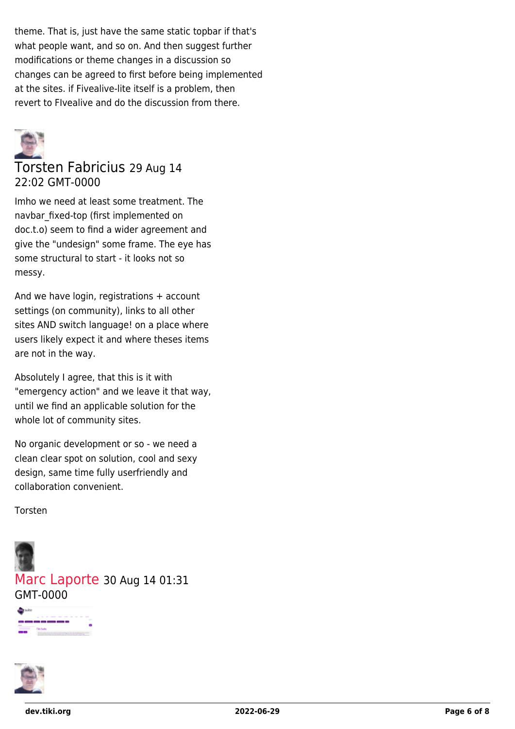theme. That is, just have the same static topbar if that's what people want, and so on. And then suggest further modifications or theme changes in a discussion so changes can be agreed to first before being implemented at the sites. if Fivealive-lite itself is a problem, then revert to FIvealive and do the discussion from there.



#### Torsten Fabricius 29 Aug 14 22:02 GMT-0000

Imho we need at least some treatment. The navbar\_fixed-top (first implemented on doc.t.o) seem to find a wider agreement and give the "undesign" some frame. The eye has some structural to start - it looks not so messy.

And we have login, registrations + account settings (on community), links to all other sites AND switch language! on a place where users likely expect it and where theses items are not in the way.

Absolutely I agree, that this is it with "emergency action" and we leave it that way, until we find an applicable solution for the whole lot of community sites.

No organic development or so - we need a clean clear spot on solution, cool and sexy design, same time fully userfriendly and collaboration convenient.

Torsten



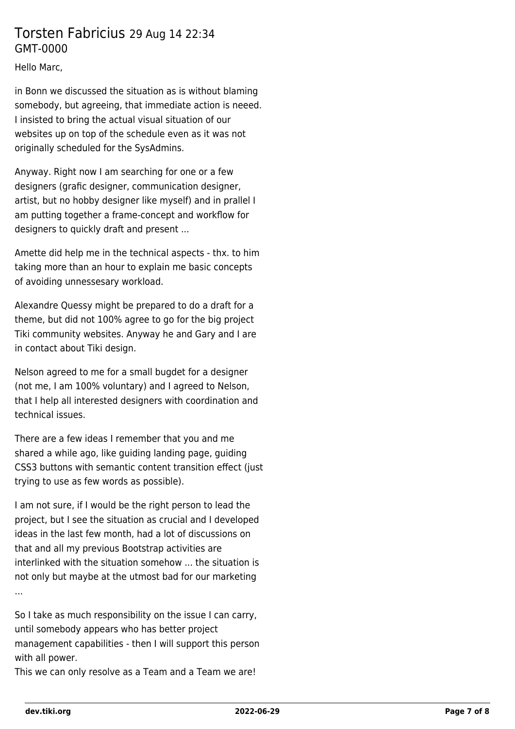#### Torsten Fabricius 29 Aug 14 22:34 GMT-0000

Hello Marc,

in Bonn we discussed the situation as is without blaming somebody, but agreeing, that immediate action is neeed. I insisted to bring the actual visual situation of our websites up on top of the schedule even as it was not originally scheduled for the SysAdmins.

Anyway. Right now I am searching for one or a few designers (grafic designer, communication designer, artist, but no hobby designer like myself) and in prallel I am putting together a frame-concept and workflow for designers to quickly draft and present ...

Amette did help me in the technical aspects - thx. to him taking more than an hour to explain me basic concepts of avoiding unnessesary workload.

Alexandre Quessy might be prepared to do a draft for a theme, but did not 100% agree to go for the big project Tiki community websites. Anyway he and Gary and I are in contact about Tiki design.

Nelson agreed to me for a small bugdet for a designer (not me, I am 100% voluntary) and I agreed to Nelson, that I help all interested designers with coordination and technical issues.

There are a few ideas I remember that you and me shared a while ago, like guiding landing page, guiding CSS3 buttons with semantic content transition effect (just trying to use as few words as possible).

I am not sure, if I would be the right person to lead the project, but I see the situation as crucial and I developed ideas in the last few month, had a lot of discussions on that and all my previous Bootstrap activities are interlinked with the situation somehow ... the situation is not only but maybe at the utmost bad for our marketing ...

So I take as much responsibility on the issue I can carry, until somebody appears who has better project management capabilities - then I will support this person with all power.

This we can only resolve as a Team and a Team we are!